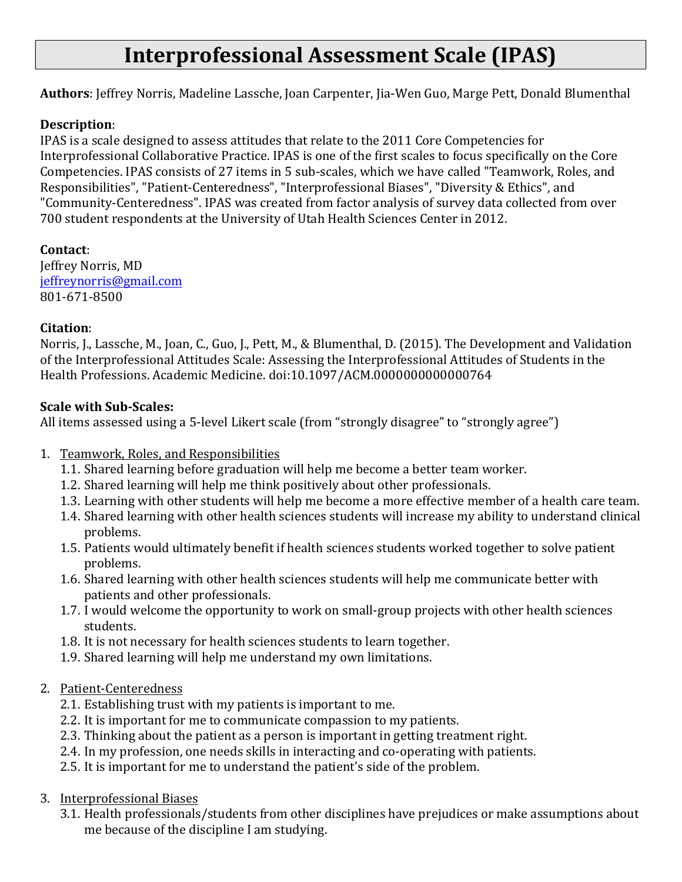# **Interprofessional Assessment Scale (IPAS)**

**Authors**: Jeffrey Norris, Madeline Lassche, Joan Carpenter, Jia-Wen Guo, Marge Pett, Donald Blumenthal

#### **Description**:

IPAS is a scale designed to assess attitudes that relate to the 2011 Core Competencies for Interprofessional Collaborative Practice. IPAS is one of the first scales to focus specifically on the Core Competencies. IPAS consists of 27 items in 5 sub-scales, which we have called "Teamwork, Roles, and Responsibilities", "Patient-Centeredness", "Interprofessional Biases", "Diversity & Ethics", and "Community-Centeredness". IPAS was created from factor analysis of survey data collected from over 700 student respondents at the University of Utah Health Sciences Center in 2012.

**Contact**: Jeffrey Norris, MD jeffreynorris@gmail.com 801-671-8500

#### **Citation**:

Norris, J., Lassche, M., Joan, C., Guo, J., Pett, M., & Blumenthal, D. (2015). The Development and Validation of the Interprofessional Attitudes Scale: Assessing the Interprofessional Attitudes of Students in the Health Professions. Academic Medicine. doi:10.1097/ACM.0000000000000764

#### **Scale with Sub-Scales:**

All items assessed using a 5-level Likert scale (from "strongly disagree" to "strongly agree")

- 1. Teamwork, Roles, and Responsibilities
	- 1.1. Shared learning before graduation will help me become a better team worker.
	- 1.2. Shared learning will help me think positively about other professionals.
	- 1.3. Learning with other students will help me become a more effective member of a health care team.
	- 1.4. Shared learning with other health sciences students will increase my ability to understand clinical problems.
	- 1.5. Patients would ultimately benefit if health sciences students worked together to solve patient problems.
	- 1.6. Shared learning with other health sciences students will help me communicate better with patients and other professionals.
	- 1.7. I would welcome the opportunity to work on small-group projects with other health sciences students.
	- 1.8. It is not necessary for health sciences students to learn together.
	- 1.9. Shared learning will help me understand my own limitations.

### 2. Patient-Centeredness

- 2.1. Establishing trust with my patients is important to me.
- 2.2. It is important for me to communicate compassion to my patients.
- 2.3. Thinking about the patient as a person is important in getting treatment right.
- 2.4. In my profession, one needs skills in interacting and co-operating with patients.
- 2.5. It is important for me to understand the patient's side of the problem.
- 3. Interprofessional Biases
	- 3.1. Health professionals/students from other disciplines have prejudices or make assumptions about me because of the discipline I am studying.